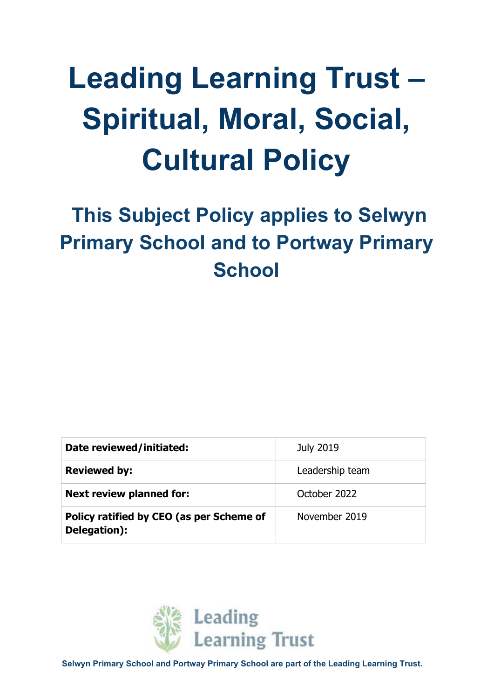# **Leading Learning Trust – Spiritual, Moral, Social, Cultural Policy**

# **This Subject Policy applies to Selwyn Primary School and to Portway Primary School**

| Date reviewed/initiated:                                 | <b>July 2019</b> |  |
|----------------------------------------------------------|------------------|--|
| <b>Reviewed by:</b>                                      | Leadership team  |  |
| <b>Next review planned for:</b><br>October 2022          |                  |  |
| Policy ratified by CEO (as per Scheme of<br>Delegation): | November 2019    |  |



**Selwyn Primary School and Portway Primary School are part of the Leading Learning Trust.**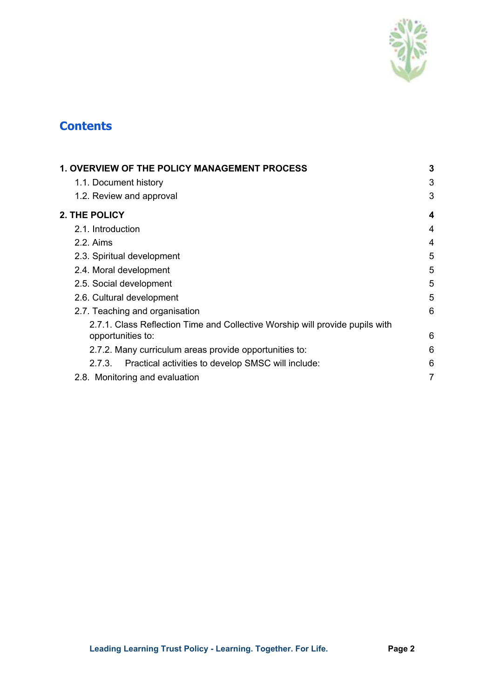

# **Contents**

| <b>1. OVERVIEW OF THE POLICY MANAGEMENT PROCESS</b>                          |                |
|------------------------------------------------------------------------------|----------------|
| 1.1. Document history                                                        | 3              |
| 1.2. Review and approval                                                     | 3              |
| <b>2. THE POLICY</b>                                                         | 4              |
| 2.1. Introduction                                                            | 4              |
| 2.2. Aims                                                                    | 4              |
| 2.3. Spiritual development                                                   | 5              |
| 2.4. Moral development                                                       | 5              |
| 2.5. Social development                                                      | 5              |
| 2.6. Cultural development                                                    | 5              |
| 2.7. Teaching and organisation                                               | 6              |
| 2.7.1. Class Reflection Time and Collective Worship will provide pupils with |                |
| opportunities to:                                                            | 6              |
| 2.7.2. Many curriculum areas provide opportunities to:                       | 6              |
| Practical activities to develop SMSC will include:<br>2.7.3.                 | 6              |
| 2.8. Monitoring and evaluation                                               | $\overline{7}$ |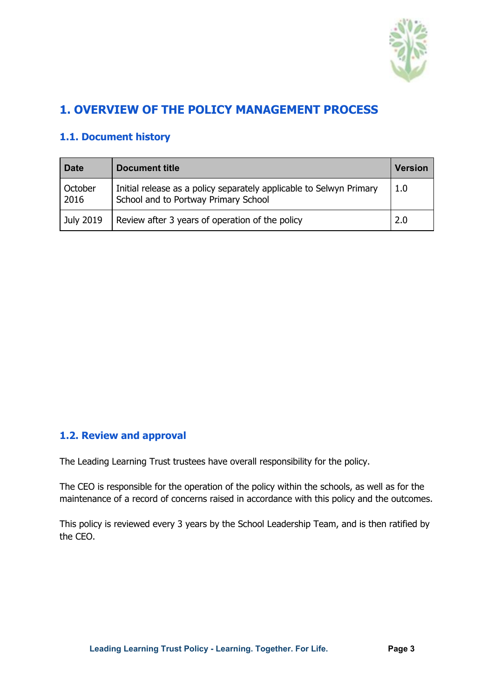

# <span id="page-2-0"></span>**1. OVERVIEW OF THE POLICY MANAGEMENT PROCESS**

## <span id="page-2-1"></span>**1.1. Document history**

| <b>Date</b>     | <b>Document title</b>                                                                                       | Version |
|-----------------|-------------------------------------------------------------------------------------------------------------|---------|
| October<br>2016 | Initial release as a policy separately applicable to Selwyn Primary<br>School and to Portway Primary School | 1.0     |
| July 2019       | Review after 3 years of operation of the policy                                                             | 2.0     |

#### **1.2. Review and approval**

The Leading Learning Trust trustees have overall responsibility for the policy.

The CEO is responsible for the operation of the policy within the schools, as well as for the maintenance of a record of concerns raised in accordance with this policy and the outcomes.

This policy is reviewed every 3 years by the School Leadership Team, and is then ratified by the CEO.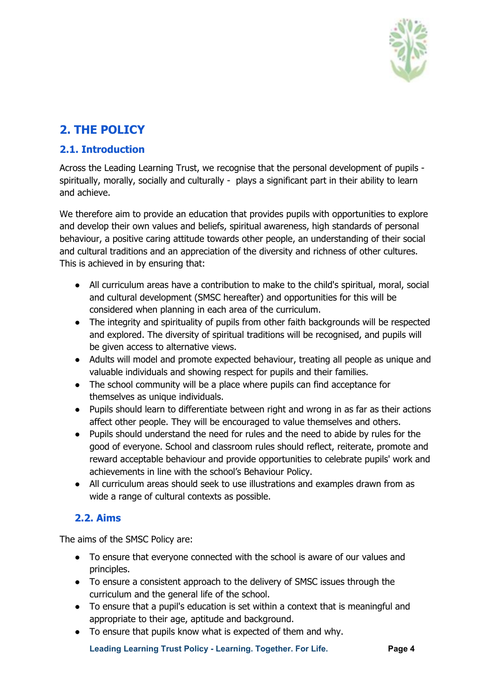

# <span id="page-3-0"></span>**2. THE POLICY**

## <span id="page-3-1"></span>**2.1. Introduction**

Across the Leading Learning Trust, we recognise that the personal development of pupils spiritually, morally, socially and culturally - plays a significant part in their ability to learn and achieve.

We therefore aim to provide an education that provides pupils with opportunities to explore and develop their own values and beliefs, spiritual awareness, high standards of personal behaviour, a positive caring attitude towards other people, an understanding of their social and cultural traditions and an appreciation of the diversity and richness of other cultures. This is achieved in by ensuring that:

- All curriculum areas have a contribution to make to the child's spiritual, moral, social and cultural development (SMSC hereafter) and opportunities for this will be considered when planning in each area of the curriculum.
- The integrity and spirituality of pupils from other faith backgrounds will be respected and explored. The diversity of spiritual traditions will be recognised, and pupils will be given access to alternative views.
- Adults will model and promote expected behaviour, treating all people as unique and valuable individuals and showing respect for pupils and their families.
- The school community will be a place where pupils can find acceptance for themselves as unique individuals.
- Pupils should learn to differentiate between right and wrong in as far as their actions affect other people. They will be encouraged to value themselves and others.
- Pupils should understand the need for rules and the need to abide by rules for the good of everyone. School and classroom rules should reflect, reiterate, promote and reward acceptable behaviour and provide opportunities to celebrate pupils' work and achievements in line with the school's Behaviour Policy.
- All curriculum areas should seek to use illustrations and examples drawn from as wide a range of cultural contexts as possible.

# <span id="page-3-2"></span>**2.2. Aims**

The aims of the SMSC Policy are:

- To ensure that everyone connected with the school is aware of our values and principles.
- To ensure a consistent approach to the delivery of SMSC issues through the curriculum and the general life of the school.
- To ensure that a pupil's education is set within a context that is meaningful and appropriate to their age, aptitude and background.
- To ensure that pupils know what is expected of them and why.

**Leading Learning Trust Policy - Learning. Together. For Life. Page 4**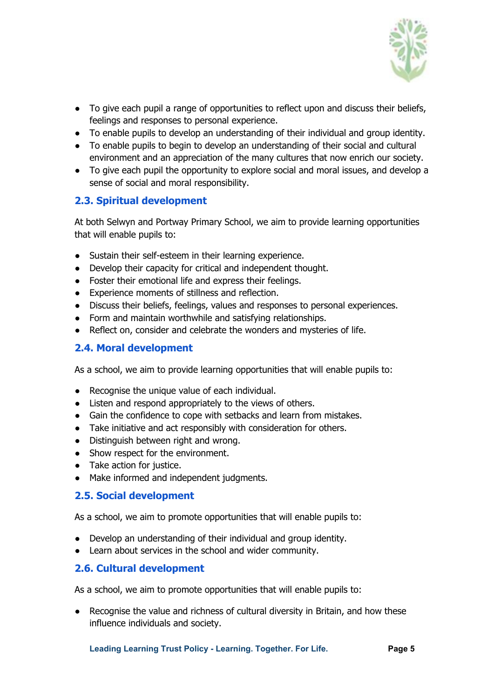

- To give each pupil a range of opportunities to reflect upon and discuss their beliefs, feelings and responses to personal experience.
- To enable pupils to develop an understanding of their individual and group identity.
- To enable pupils to begin to develop an understanding of their social and cultural environment and an appreciation of the many cultures that now enrich our society.
- To give each pupil the opportunity to explore social and moral issues, and develop a sense of social and moral responsibility.

#### <span id="page-4-0"></span>**2.3. Spiritual development**

At both Selwyn and Portway Primary School, we aim to provide learning opportunities that will enable pupils to:

- Sustain their self-esteem in their learning experience.
- Develop their capacity for critical and independent thought.
- Foster their emotional life and express their feelings.
- Experience moments of stillness and reflection.
- Discuss their beliefs, feelings, values and responses to personal experiences.
- Form and maintain worthwhile and satisfying relationships.
- Reflect on, consider and celebrate the wonders and mysteries of life.

#### <span id="page-4-1"></span>**2.4. Moral development**

As a school, we aim to provide learning opportunities that will enable pupils to:

- Recognise the unique value of each individual.
- Listen and respond appropriately to the views of others.
- Gain the confidence to cope with setbacks and learn from mistakes.
- Take initiative and act responsibly with consideration for others.
- Distinguish between right and wrong.
- Show respect for the environment.
- Take action for justice.
- Make informed and independent judgments.

#### <span id="page-4-2"></span>**2.5. Social development**

As a school, we aim to promote opportunities that will enable pupils to:

- Develop an understanding of their individual and group identity.
- Learn about services in the school and wider community.

#### <span id="page-4-3"></span>**2.6. Cultural development**

As a school, we aim to promote opportunities that will enable pupils to:

● Recognise the value and richness of cultural diversity in Britain, and how these influence individuals and society.

**Leading Learning Trust Policy - Learning. Together. For Life. Page 5**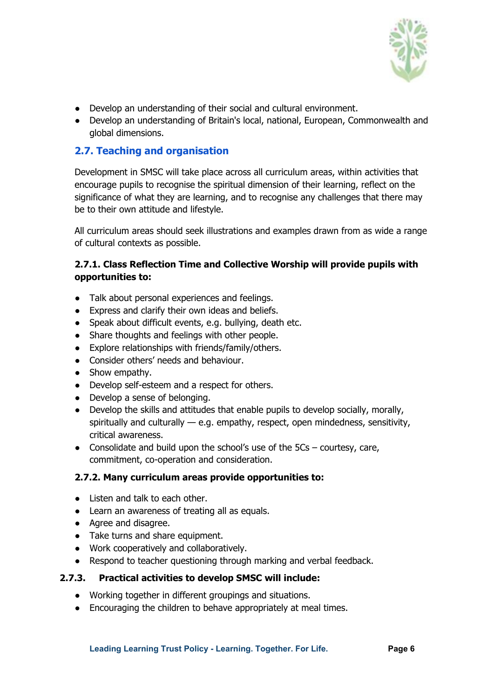

- Develop an understanding of their social and cultural environment.
- Develop an understanding of Britain's local, national, European, Commonwealth and global dimensions.

#### <span id="page-5-0"></span>**2.7. Teaching and organisation**

Development in SMSC will take place across all curriculum areas, within activities that encourage pupils to recognise the spiritual dimension of their learning, reflect on the significance of what they are learning, and to recognise any challenges that there may be to their own attitude and lifestyle.

All curriculum areas should seek illustrations and examples drawn from as wide a range of cultural contexts as possible.

#### <span id="page-5-1"></span>**2.7.1. Class Reflection Time and Collective Worship will provide pupils with opportunities to:**

- Talk about personal experiences and feelings.
- Express and clarify their own ideas and beliefs.
- Speak about difficult events, e.g. bullying, death etc.
- Share thoughts and feelings with other people.
- Explore relationships with friends/family/others.
- Consider others' needs and behaviour.
- Show empathy.
- Develop self-esteem and a respect for others.
- Develop a sense of belonging.
- Develop the skills and attitudes that enable pupils to develop socially, morally, spiritually and culturally — e.g. empathy, respect, open mindedness, sensitivity, critical awareness.
- Consolidate and build upon the school's use of the  $5Cs$  courtesy, care, commitment, co-operation and consideration.

#### <span id="page-5-2"></span>**2.7.2. Many curriculum areas provide opportunities to:**

- Listen and talk to each other.
- Learn an awareness of treating all as equals.
- Agree and disagree.
- Take turns and share equipment.
- Work cooperatively and collaboratively.
- Respond to teacher questioning through marking and verbal feedback.

#### <span id="page-5-3"></span>**2.7.3. Practical activities to develop SMSC will include:**

- Working together in different groupings and situations.
- Encouraging the children to behave appropriately at meal times.